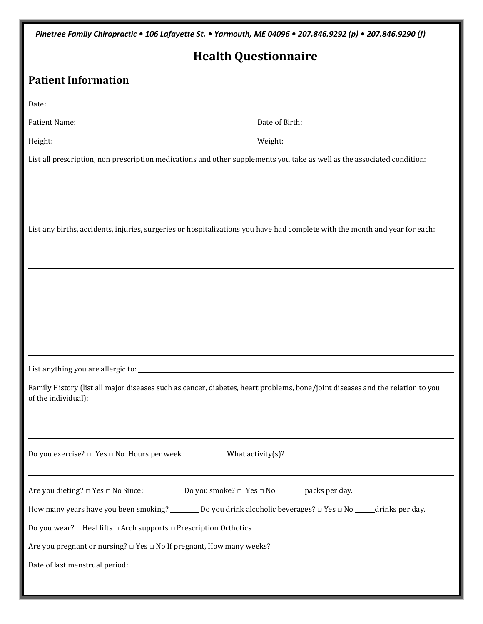| Pinetree Family Chiropractic • 106 Lafayette St. • Yarmouth, ME 04096 • 207.846.9292 (p) • 207.846.9290 (f)                                          |                                                                                                                             |  |  |  |  |
|------------------------------------------------------------------------------------------------------------------------------------------------------|-----------------------------------------------------------------------------------------------------------------------------|--|--|--|--|
|                                                                                                                                                      | <b>Health Questionnaire</b>                                                                                                 |  |  |  |  |
| <b>Patient Information</b>                                                                                                                           |                                                                                                                             |  |  |  |  |
|                                                                                                                                                      |                                                                                                                             |  |  |  |  |
|                                                                                                                                                      |                                                                                                                             |  |  |  |  |
|                                                                                                                                                      |                                                                                                                             |  |  |  |  |
|                                                                                                                                                      | List all prescription, non prescription medications and other supplements you take as well as the associated condition:     |  |  |  |  |
|                                                                                                                                                      |                                                                                                                             |  |  |  |  |
|                                                                                                                                                      | List any births, accidents, injuries, surgeries or hospitalizations you have had complete with the month and year for each: |  |  |  |  |
|                                                                                                                                                      |                                                                                                                             |  |  |  |  |
|                                                                                                                                                      |                                                                                                                             |  |  |  |  |
|                                                                                                                                                      |                                                                                                                             |  |  |  |  |
|                                                                                                                                                      |                                                                                                                             |  |  |  |  |
|                                                                                                                                                      |                                                                                                                             |  |  |  |  |
|                                                                                                                                                      |                                                                                                                             |  |  |  |  |
| Family History (list all major diseases such as cancer, diabetes, heart problems, bone/joint diseases and the relation to you<br>of the individual): |                                                                                                                             |  |  |  |  |
|                                                                                                                                                      | <u> 1989 - Andrea Barbara, Amerikaansk politik (d. 1989)</u>                                                                |  |  |  |  |
|                                                                                                                                                      | ,我们也不会有什么。""我们的人,我们也不会有什么?""我们的人,我们也不会有什么?""我们的人,我们也不会有什么?""我们的人,我们也不会有什么?""我们的人                                            |  |  |  |  |
| Are you dieting? $\Box$ Yes $\Box$ No Since: Do you smoke? $\Box$ Yes $\Box$ No _______packs per day.                                                |                                                                                                                             |  |  |  |  |
|                                                                                                                                                      | How many years have you been smoking? _________ Do you drink alcoholic beverages? $\Box$ Yes $\Box$ No _____drinks per day. |  |  |  |  |
| Do you wear? $\Box$ Heal lifts $\Box$ Arch supports $\Box$ Prescription Orthotics                                                                    |                                                                                                                             |  |  |  |  |
|                                                                                                                                                      |                                                                                                                             |  |  |  |  |
|                                                                                                                                                      |                                                                                                                             |  |  |  |  |
|                                                                                                                                                      |                                                                                                                             |  |  |  |  |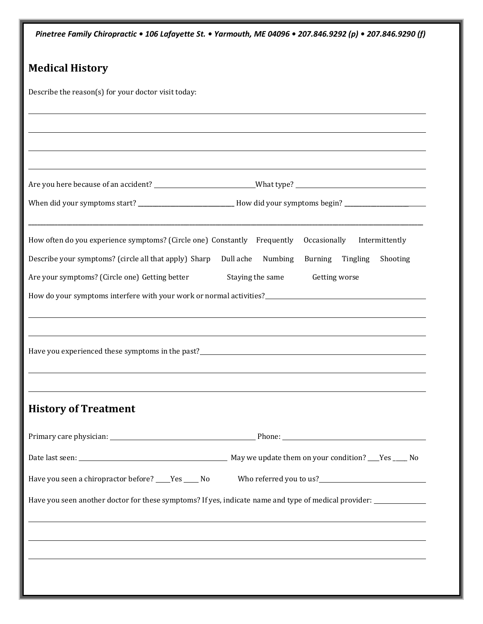| Pinetree Family Chiropractic • 106 Lafayette St. • Yarmouth, ME 04096 • 207.846.9292 (p) • 207.846.9290 (f)    |  |  |  |  |  |
|----------------------------------------------------------------------------------------------------------------|--|--|--|--|--|
| <b>Medical History</b>                                                                                         |  |  |  |  |  |
| Describe the reason(s) for your doctor visit today:                                                            |  |  |  |  |  |
|                                                                                                                |  |  |  |  |  |
|                                                                                                                |  |  |  |  |  |
|                                                                                                                |  |  |  |  |  |
| Are you here because of an accident? ____________________________What type? __________________________________ |  |  |  |  |  |
| When did your symptoms start? _____________________________How did your symptoms begin? ______________________ |  |  |  |  |  |
| How often do you experience symptoms? (Circle one) Constantly Frequently Occasionally Intermittently           |  |  |  |  |  |
| Describe your symptoms? (circle all that apply) Sharp Dull ache Numbing Burning Tingling<br>Shooting           |  |  |  |  |  |
| Are your symptoms? (Circle one) Getting better<br>Staying the same Getting worse                               |  |  |  |  |  |
| How do your symptoms interfere with your work or normal activities?<br><u>Example 2.1</u>                      |  |  |  |  |  |
|                                                                                                                |  |  |  |  |  |
|                                                                                                                |  |  |  |  |  |
|                                                                                                                |  |  |  |  |  |
|                                                                                                                |  |  |  |  |  |
| <b>History of Treatment</b>                                                                                    |  |  |  |  |  |
|                                                                                                                |  |  |  |  |  |
|                                                                                                                |  |  |  |  |  |
| Have you seen a chiropractor before? ____Yes _____ No                                                          |  |  |  |  |  |
| Have you seen another doctor for these symptoms? If yes, indicate name and type of medical provider:           |  |  |  |  |  |
|                                                                                                                |  |  |  |  |  |
|                                                                                                                |  |  |  |  |  |
|                                                                                                                |  |  |  |  |  |
|                                                                                                                |  |  |  |  |  |
|                                                                                                                |  |  |  |  |  |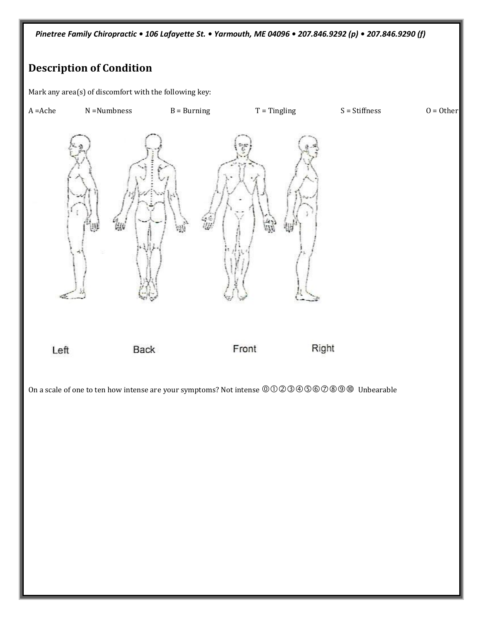*Pinetree Family Chiropractic • 106 Lafayette St. • Yarmouth, ME 04096 • 207.846.9292 (p) • 207.846.9290 (f)*

## **Description of Condition**

Mark any area(s) of discomfort with the following key:

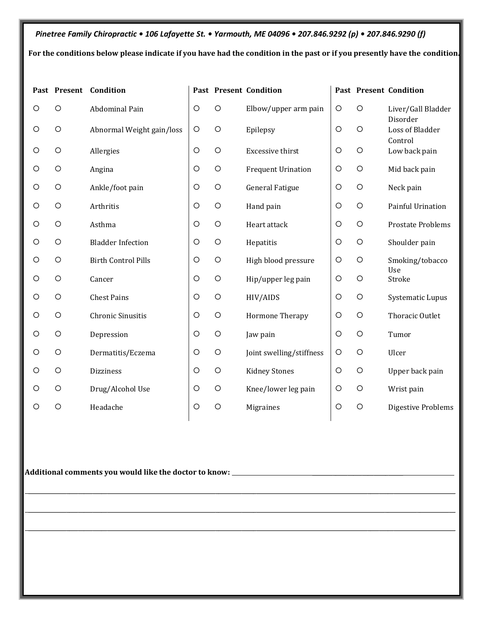*Pinetree Family Chiropractic • 106 Lafayette St. • Yarmouth, ME 04096 • 207.846.9292 (p) • 207.846.9290 (f)* **For the conditions below please indicate if you have had the condition in the past or if you presently have the condition.**

|         |            | Past Present Condition     |         |         | Past Present Condition    |            |            | Past Present Condition         |
|---------|------------|----------------------------|---------|---------|---------------------------|------------|------------|--------------------------------|
| O       | $\circ$    | Abdominal Pain             | $\circ$ | $\circ$ | Elbow/upper arm pain      | $\circ$    | $\circ$    | Liver/Gall Bladder<br>Disorder |
| O       | $\circ$    | Abnormal Weight gain/loss  | $\circ$ | $\circ$ | Epilepsy                  | $\circ$    | $\circ$    | Loss of Bladder<br>Control     |
| O       | $\circ$    | Allergies                  | $\circ$ | $\circ$ | Excessive thirst          | $\circ$    | $\circ$    | Low back pain                  |
| O       | $\circ$    | Angina                     | O       | $\circ$ | <b>Frequent Urination</b> | $\circ$    | $\circ$    | Mid back pain                  |
| O       | $\circ$    | Ankle/foot pain            | O       | $\circ$ | <b>General Fatigue</b>    | $\circ$    | $\circ$    | Neck pain                      |
| O       | $\circ$    | Arthritis                  | $\circ$ | $\circ$ | Hand pain                 | $\circ$    | $\circ$    | Painful Urination              |
| O       | $\circ$    | Asthma                     | $\circ$ | $\circ$ | Heart attack              | $\circ$    | $\circ$    | Prostate Problems              |
| O       | $\circ$    | <b>Bladder Infection</b>   | $\circ$ | $\circ$ | Hepatitis                 | $\circ$    | $\circ$    | Shoulder pain                  |
| O       | $\circ$    | <b>Birth Control Pills</b> | $\circ$ | $\circ$ | High blood pressure       | $\circ$    | $\circ$    | Smoking/tobacco<br>Use         |
| O       | $\circ$    | Cancer                     | $\circ$ | $\circ$ | Hip/upper leg pain        | $\circ$    | $\circ$    | Stroke                         |
| $\circ$ | $\circ$    | <b>Chest Pains</b>         | $\circ$ | $\circ$ | HIV/AIDS                  | $\circ$    | $\circ$    | <b>Systematic Lupus</b>        |
| O       | $\circ$    | Chronic Sinusitis          | O       | $\circ$ | Hormone Therapy           | $\bigcirc$ | $\bigcirc$ | Thoracic Outlet                |
| O       | $\bigcirc$ | Depression                 | $\circ$ | $\circ$ | Jaw pain                  | $\circ$    | $\circ$    | Tumor                          |
| $\circ$ | $\circ$    | Dermatitis/Eczema          | $\circ$ | $\circ$ | Joint swelling/stiffness  | $\circ$    | $\circ$    | Ulcer                          |
| O       | $\bigcirc$ | Dizziness                  | $\circ$ | $\circ$ | <b>Kidney Stones</b>      | $\circ$    | $\bigcirc$ | Upper back pain                |
| O       | $\circ$    | Drug/Alcohol Use           | $\circ$ | $\circ$ | Knee/lower leg pain       | $\circ$    | $\circ$    | Wrist pain                     |
| O       | $\circ$    | Headache                   | $\circ$ | $\circ$ | Migraines                 | $\circ$    | $\circ$    | <b>Digestive Problems</b>      |
|         |            |                            |         |         |                           |            |            |                                |

\_\_\_\_\_\_\_\_\_\_\_\_\_\_\_\_\_\_\_\_\_\_\_\_\_\_\_\_\_\_\_\_\_\_\_\_\_\_\_\_\_\_\_\_\_\_\_\_\_\_\_\_\_\_\_\_\_\_\_\_\_\_\_\_\_\_\_\_\_\_\_\_\_\_\_\_\_\_\_\_\_\_\_\_\_\_\_\_\_\_\_\_\_\_\_\_\_\_\_\_\_\_\_\_\_\_\_\_\_\_\_\_\_\_\_\_\_\_\_\_\_\_\_\_\_\_\_\_\_\_\_\_\_\_\_\_\_\_\_\_\_\_\_\_\_\_

 $\mathcal{L}_\mathcal{L} = \mathcal{L}_\mathcal{L} = \mathcal{L}_\mathcal{L} = \mathcal{L}_\mathcal{L} = \mathcal{L}_\mathcal{L} = \mathcal{L}_\mathcal{L} = \mathcal{L}_\mathcal{L} = \mathcal{L}_\mathcal{L} = \mathcal{L}_\mathcal{L} = \mathcal{L}_\mathcal{L} = \mathcal{L}_\mathcal{L} = \mathcal{L}_\mathcal{L} = \mathcal{L}_\mathcal{L} = \mathcal{L}_\mathcal{L} = \mathcal{L}_\mathcal{L} = \mathcal{L}_\mathcal{L} = \mathcal{L}_\mathcal{L}$ 

 $\mathcal{L}_\mathcal{L} = \mathcal{L}_\mathcal{L} = \mathcal{L}_\mathcal{L} = \mathcal{L}_\mathcal{L} = \mathcal{L}_\mathcal{L} = \mathcal{L}_\mathcal{L} = \mathcal{L}_\mathcal{L} = \mathcal{L}_\mathcal{L} = \mathcal{L}_\mathcal{L} = \mathcal{L}_\mathcal{L} = \mathcal{L}_\mathcal{L} = \mathcal{L}_\mathcal{L} = \mathcal{L}_\mathcal{L} = \mathcal{L}_\mathcal{L} = \mathcal{L}_\mathcal{L} = \mathcal{L}_\mathcal{L} = \mathcal{L}_\mathcal{L}$ 

**Additional comments you would like the doctor to know:** \_\_\_\_\_\_\_\_\_\_\_\_\_\_\_\_\_\_\_\_\_\_\_\_\_\_\_\_\_\_\_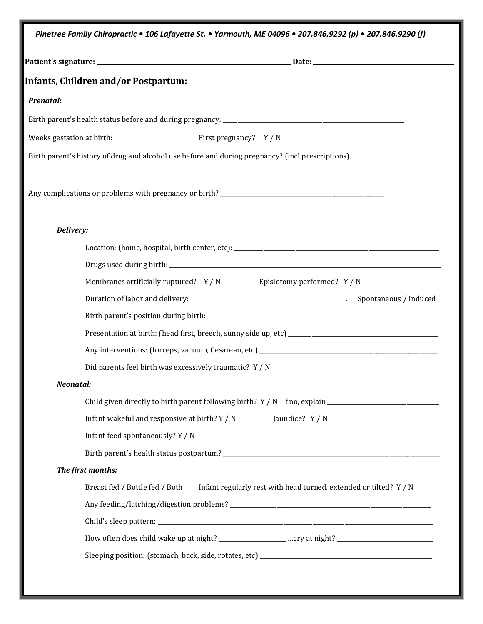|                  | <b>Infants, Children and/or Postpartum:</b>                                                      |
|------------------|--------------------------------------------------------------------------------------------------|
| <b>Prenatal:</b> |                                                                                                  |
|                  |                                                                                                  |
|                  | Weeks gestation at birth: _______________<br>First pregnancy? Y / N                              |
|                  | Birth parent's history of drug and alcohol use before and during pregnancy? (incl prescriptions) |
|                  |                                                                                                  |
|                  |                                                                                                  |
|                  |                                                                                                  |
| Delivery:        |                                                                                                  |
|                  |                                                                                                  |
|                  |                                                                                                  |
|                  | Membranes artificially ruptured? Y / N Episiotomy performed? Y / N                               |
|                  |                                                                                                  |
|                  |                                                                                                  |
|                  |                                                                                                  |
|                  |                                                                                                  |
|                  | Did parents feel birth was excessively traumatic? Y / N                                          |
| Neonatal:        |                                                                                                  |
|                  |                                                                                                  |
|                  | Infant wakeful and responsive at birth? Y / N<br>Jaundice? Y / N                                 |
|                  | Infant feed spontaneously? Y / N                                                                 |
|                  |                                                                                                  |
|                  | The first months:                                                                                |
|                  | Breast fed / Bottle fed / Both Infant regularly rest with head turned, extended or tilted? Y / N |
|                  |                                                                                                  |
|                  |                                                                                                  |
|                  |                                                                                                  |